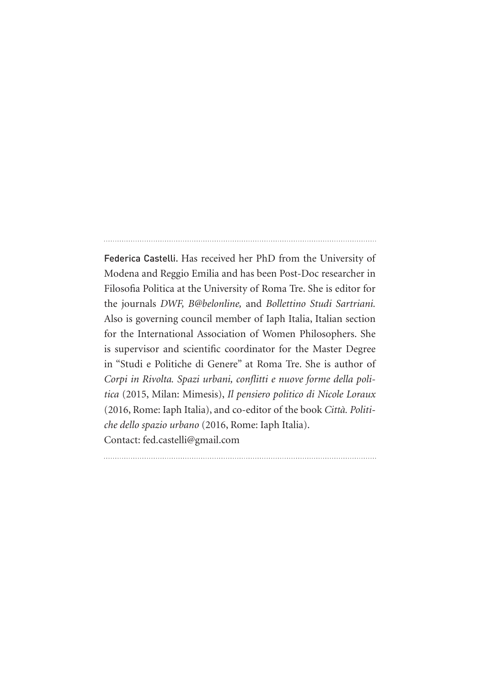Federica Castelli. Has received her PhD from the University of Modena and Reggio Emilia and has been Post-Doc researcher in Filosofia Politica at the University of Roma Tre. She is editor for the journals *DWF, B@belonline,* and *Bollettino Studi Sartriani.*  Also is governing council member of Iaph Italia, Italian section for the International Association of Women Philosophers. She is supervisor and scientific coordinator for the Master Degree in "Studi e Politiche di Genere" at Roma Tre. She is author of *Corpi in Rivolta. Spazi urbani, conflitti e nuove forme della politica* (2015, Milan: Mimesis), *Il pensiero politico di Nicole Loraux* (2016, Rome: Iaph Italia), and co-editor of the book *Città. Politiche dello spazio urbano* (2016, Rome: Iaph Italia). Contact: fed.castelli@gmail.com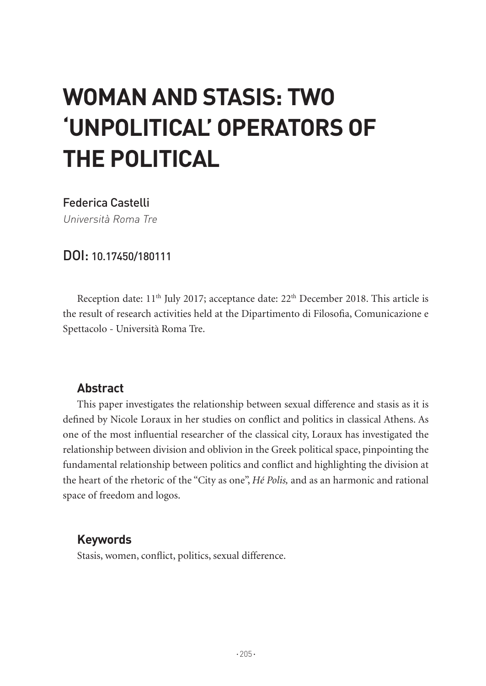# **WOMAN AND STASIS: TWO 'UNPOLITICAL' OPERATORS OF THE POLITICAL**

## Federica Castelli

Università Roma Tre

# DOI: 10.17450/180111

Reception date:  $11<sup>th</sup>$  July 2017; acceptance date:  $22<sup>th</sup>$  December 2018. This article is the result of research activities held at the Dipartimento di Filosofia, Comunicazione e Spettacolo - Università Roma Tre.

# **Abstract**

This paper investigates the relationship between sexual difference and stasis as it is defined by Nicole Loraux in her studies on conflict and politics in classical Athens. As one of the most influential researcher of the classical city, Loraux has investigated the relationship between division and oblivion in the Greek political space, pinpointing the fundamental relationship between politics and conflict and highlighting the division at the heart of the rhetoric of the "City as one", *Hé Polis,* and as an harmonic and rational space of freedom and logos.

## **Keywords**

Stasis, women, conflict, politics, sexual difference.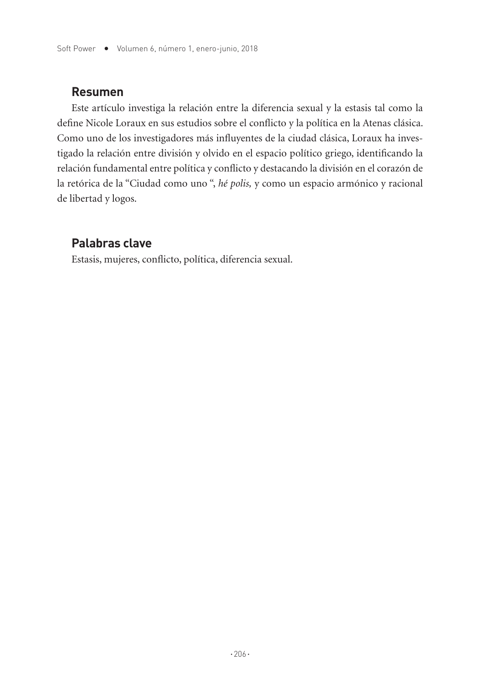#### **Resumen**

Este artículo investiga la relación entre la diferencia sexual y la estasis tal como la define Nicole Loraux en sus estudios sobre el conflicto y la política en la Atenas clásica. Como uno de los investigadores más influyentes de la ciudad clásica, Loraux ha investigado la relación entre división y olvido en el espacio político griego, identificando la relación fundamental entre política y conflicto y destacando la división en el corazón de la retórica de la "Ciudad como uno ", *hé polis,* y como un espacio armónico y racional de libertad y logos.

## **Palabras clave**

Estasis, mujeres, conflicto, política, diferencia sexual.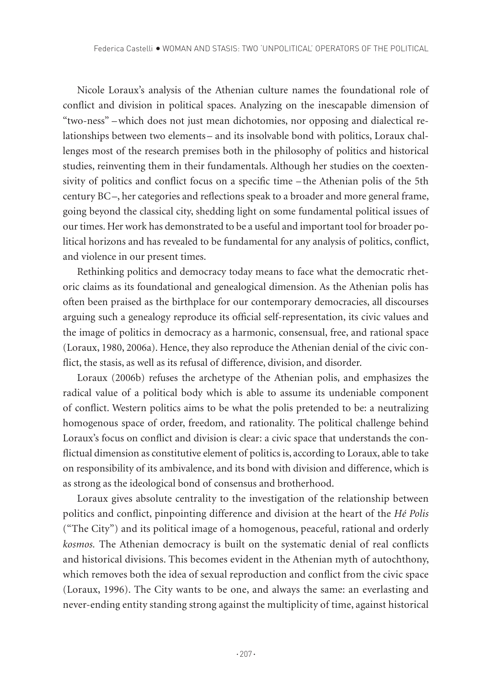Nicole Loraux's analysis of the Athenian culture names the foundational role of conflict and division in political spaces. Analyzing on the inescapable dimension of "two-ness" –which does not just mean dichotomies, nor opposing and dialectical relationships between two elements– and its insolvable bond with politics, Loraux challenges most of the research premises both in the philosophy of politics and historical studies, reinventing them in their fundamentals. Although her studies on the coextensivity of politics and conflict focus on a specific time – the Athenian polis of the 5th century BC–, her categories and reflections speak to a broader and more general frame, going beyond the classical city, shedding light on some fundamental political issues of our times. Her work has demonstrated to be a useful and important tool for broader political horizons and has revealed to be fundamental for any analysis of politics, conflict, and violence in our present times.

Rethinking politics and democracy today means to face what the democratic rhetoric claims as its foundational and genealogical dimension. As the Athenian polis has often been praised as the birthplace for our contemporary democracies, all discourses arguing such a genealogy reproduce its official self-representation, its civic values and the image of politics in democracy as a harmonic, consensual, free, and rational space (Loraux, 1980, 2006a). Hence, they also reproduce the Athenian denial of the civic conflict, the stasis, as well as its refusal of difference, division, and disorder.

Loraux (2006b) refuses the archetype of the Athenian polis, and emphasizes the radical value of a political body which is able to assume its undeniable component of conflict. Western politics aims to be what the polis pretended to be: a neutralizing homogenous space of order, freedom, and rationality. The political challenge behind Loraux's focus on conflict and division is clear: a civic space that understands the conflictual dimension as constitutive element of politics is, according to Loraux, able to take on responsibility of its ambivalence, and its bond with division and difference, which is as strong as the ideological bond of consensus and brotherhood.

Loraux gives absolute centrality to the investigation of the relationship between politics and conflict, pinpointing difference and division at the heart of the *Hé Polis*  ("The City") and its political image of a homogenous, peaceful, rational and orderly *kosmos.* The Athenian democracy is built on the systematic denial of real conflicts and historical divisions. This becomes evident in the Athenian myth of autochthony, which removes both the idea of sexual reproduction and conflict from the civic space (Loraux, 1996). The City wants to be one, and always the same: an everlasting and never-ending entity standing strong against the multiplicity of time, against historical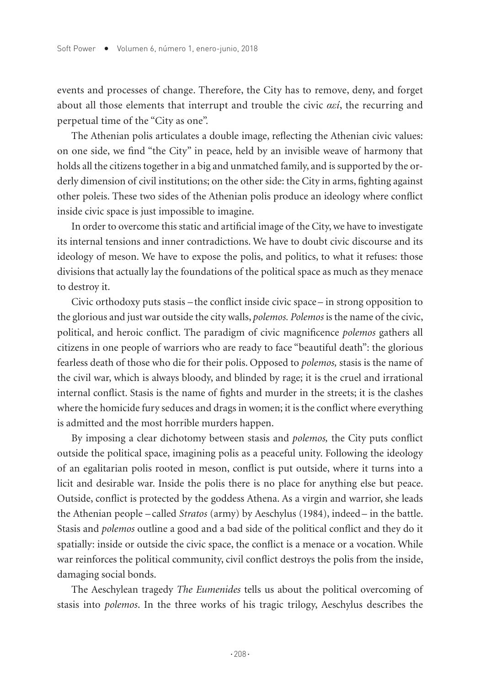events and processes of change. Therefore, the City has to remove, deny, and forget about all those elements that interrupt and trouble the civic *αεí*, the recurring and perpetual time of the "City as one".

The Athenian polis articulates a double image, reflecting the Athenian civic values: on one side, we find "the City" in peace, held by an invisible weave of harmony that holds all the citizens together in a big and unmatched family, and is supported by the orderly dimension of civil institutions; on the other side: the City in arms, fighting against other poleis. These two sides of the Athenian polis produce an ideology where conflict inside civic space is just impossible to imagine.

In order to overcome this static and artificial image of the City, we have to investigate its internal tensions and inner contradictions. We have to doubt civic discourse and its ideology of meson. We have to expose the polis, and politics, to what it refuses: those divisions that actually lay the foundations of the political space as much as they menace to destroy it.

Civic orthodoxy puts stasis –the conflict inside civic space– in strong opposition to the glorious and just war outside the city walls, *polemos. Polemos* is the name of the civic, political, and heroic conflict. The paradigm of civic magnificence *polemos* gathers all citizens in one people of warriors who are ready to face "beautiful death": the glorious fearless death of those who die for their polis. Opposed to *polemos,* stasis is the name of the civil war, which is always bloody, and blinded by rage; it is the cruel and irrational internal conflict. Stasis is the name of fights and murder in the streets; it is the clashes where the homicide fury seduces and drags in women; it is the conflict where everything is admitted and the most horrible murders happen.

By imposing a clear dichotomy between stasis and *polemos,* the City puts conflict outside the political space, imagining polis as a peaceful unity. Following the ideology of an egalitarian polis rooted in meson, conflict is put outside, where it turns into a licit and desirable war. Inside the polis there is no place for anything else but peace. Outside, conflict is protected by the goddess Athena. As a virgin and warrior, she leads the Athenian people – called *Stratos* (army) by Aeschylus (1984), indeed– in the battle. Stasis and *polemos* outline a good and a bad side of the political conflict and they do it spatially: inside or outside the civic space, the conflict is a menace or a vocation. While war reinforces the political community, civil conflict destroys the polis from the inside, damaging social bonds.

The Aeschylean tragedy *The Eumenides* tells us about the political overcoming of stasis into *polemos*. In the three works of his tragic trilogy, Aeschylus describes the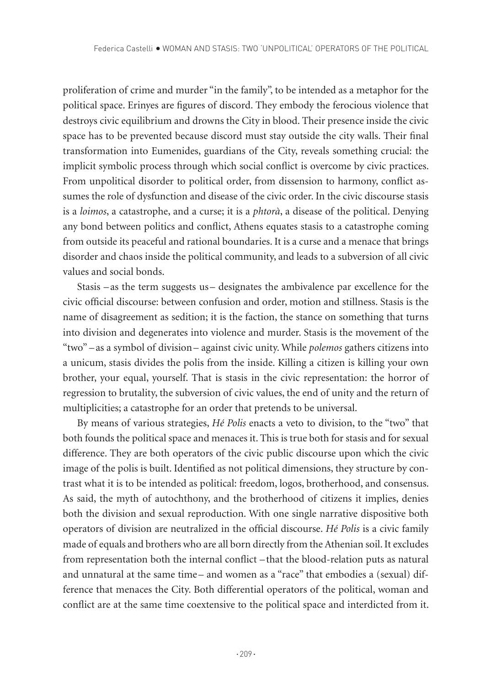proliferation of crime and murder "in the family", to be intended as a metaphor for the political space. Erinyes are figures of discord. They embody the ferocious violence that destroys civic equilibrium and drowns the City in blood. Their presence inside the civic space has to be prevented because discord must stay outside the city walls. Their final transformation into Eumenides, guardians of the City, reveals something crucial: the implicit symbolic process through which social conflict is overcome by civic practices. From unpolitical disorder to political order, from dissension to harmony, conflict assumes the role of dysfunction and disease of the civic order. In the civic discourse stasis is a *loimos*, a catastrophe, and a curse; it is a *phtorà*, a disease of the political. Denying any bond between politics and conflict, Athens equates stasis to a catastrophe coming from outside its peaceful and rational boundaries. It is a curse and a menace that brings disorder and chaos inside the political community, and leads to a subversion of all civic values and social bonds.

Stasis – as the term suggests us– designates the ambivalence par excellence for the civic official discourse: between confusion and order, motion and stillness. Stasis is the name of disagreement as sedition; it is the faction, the stance on something that turns into division and degenerates into violence and murder. Stasis is the movement of the "two" –as a symbol of division– against civic unity. While *polemos* gathers citizens into a unicum, stasis divides the polis from the inside. Killing a citizen is killing your own brother, your equal, yourself. That is stasis in the civic representation: the horror of regression to brutality, the subversion of civic values, the end of unity and the return of multiplicities; a catastrophe for an order that pretends to be universal.

By means of various strategies, *Hé Polis* enacts a veto to division, to the "two" that both founds the political space and menaces it. This is true both for stasis and for sexual difference. They are both operators of the civic public discourse upon which the civic image of the polis is built. Identified as not political dimensions, they structure by contrast what it is to be intended as political: freedom, logos, brotherhood, and consensus. As said, the myth of autochthony, and the brotherhood of citizens it implies, denies both the division and sexual reproduction. With one single narrative dispositive both operators of division are neutralized in the official discourse. *Hé Polis* is a civic family made of equals and brothers who are all born directly from the Athenian soil. It excludes from representation both the internal conflict –that the blood-relation puts as natural and unnatural at the same time– and women as a "race" that embodies a (sexual) difference that menaces the City. Both differential operators of the political, woman and conflict are at the same time coextensive to the political space and interdicted from it.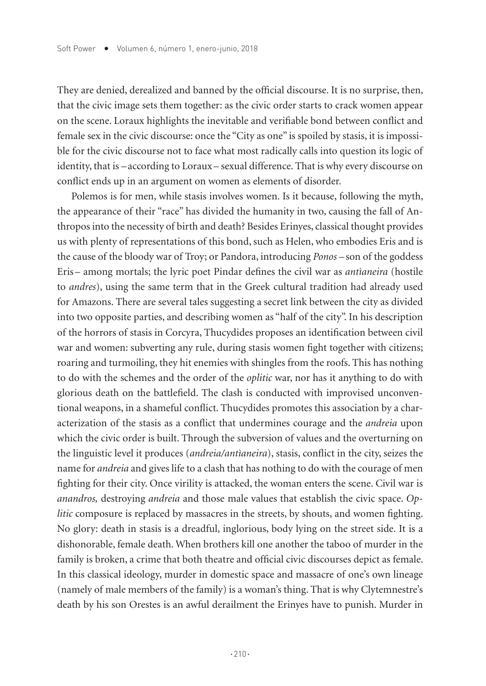They are denied, derealized and banned by the official discourse. It is no surprise, then, that the civic image sets them together: as the civic order starts to crack women appear on the scene. Loraux highlights the inevitable and verifiable bond between conflict and female sex in the civic discourse: once the "City as one" is spoiled by stasis, it is impossible for the civic discourse not to face what most radically calls into question its logic of identity, that is –according to Loraux– sexual difference. That is why every discourse on conflict ends up in an argument on women as elements of disorder.

Polemos is for men, while stasis involves women. Is it because, following the myth, the appearance of their "race" has divided the humanity in two, causing the fall of Anthropos into the necessity of birth and death? Besides Erinyes, classical thought provides us with plenty of representations of this bond, such as Helen, who embodies Eris and is the cause of the bloody war of Troy; or Pandora, introducing *Ponos* – son of the goddess Eris– among mortals; the lyric poet Pindar defines the civil war as *antìaneira* (hostile to *andres*), using the same term that in the Greek cultural tradition had already used for Amazons. There are several tales suggesting a secret link between the city as divided into two opposite parties, and describing women as "half of the city". In his description of the horrors of stasis in Corcyra, Thucydides proposes an identification between civil war and women: subverting any rule, during stasis women fight together with citizens; roaring and turmoiling, they hit enemies with shingles from the roofs. This has nothing to do with the schemes and the order of the *oplitic* war, nor has it anything to do with glorious death on the battlefield. The clash is conducted with improvised unconventional weapons, in a shameful conflict. Thucydides promotes this association by a characterization of the stasis as a conflict that undermines courage and the *andreia* upon which the civic order is built. Through the subversion of values and the overturning on the linguistic level it produces (*andreia/antìaneira*), stasis, conflict in the city, seizes the name for *andreia* and gives life to a clash that has nothing to do with the courage of men fighting for their city. Once virility is attacked, the woman enters the scene. Civil war is *anandros,* destroying *andreia* and those male values that establish the civic space. *Oplitic* composure is replaced by massacres in the streets, by shouts, and women fighting. No glory: death in stasis is a dreadful, inglorious, body lying on the street side. It is a dishonorable, female death. When brothers kill one another the taboo of murder in the family is broken, a crime that both theatre and official civic discourses depict as female. In this classical ideology, murder in domestic space and massacre of one's own lineage (namely of male members of the family) is a woman's thing. That is why Clytemnestre's death by his son Orestes is an awful derailment the Erinyes have to punish. Murder in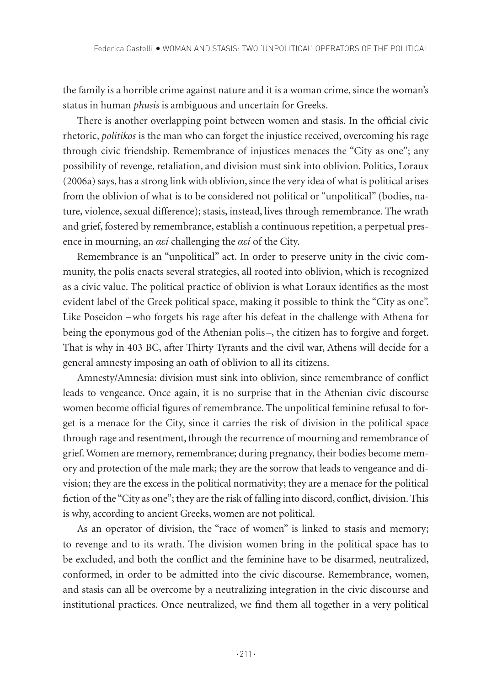the family is a horrible crime against nature and it is a woman crime, since the woman's status in human *phusis* is ambiguous and uncertain for Greeks.

There is another overlapping point between women and stasis. In the official civic rhetoric, *politikos* is the man who can forget the injustice received, overcoming his rage through civic friendship. Remembrance of injustices menaces the "City as one"; any possibility of revenge, retaliation, and division must sink into oblivion. Politics, Loraux (2006a) says, has a strong link with oblivion, since the very idea of what is political arises from the oblivion of what is to be considered not political or "unpolitical" (bodies, nature, violence, sexual difference); stasis, instead, lives through remembrance. The wrath and grief, fostered by remembrance, establish a continuous repetition, a perpetual presence in mourning, an *αεí* challenging the *αεí* of the City.

Remembrance is an "unpolitical" act. In order to preserve unity in the civic community, the polis enacts several strategies, all rooted into oblivion, which is recognized as a civic value. The political practice of oblivion is what Loraux identifies as the most evident label of the Greek political space, making it possible to think the "City as one". Like Poseidon –who forgets his rage after his defeat in the challenge with Athena for being the eponymous god of the Athenian polis–, the citizen has to forgive and forget. That is why in 403 BC, after Thirty Tyrants and the civil war, Athens will decide for a general amnesty imposing an oath of oblivion to all its citizens.

Amnesty/Amnesia: division must sink into oblivion, since remembrance of conflict leads to vengeance. Once again, it is no surprise that in the Athenian civic discourse women become official figures of remembrance. The unpolitical feminine refusal to forget is a menace for the City, since it carries the risk of division in the political space through rage and resentment, through the recurrence of mourning and remembrance of grief. Women are memory, remembrance; during pregnancy, their bodies become memory and protection of the male mark; they are the sorrow that leads to vengeance and division; they are the excess in the political normativity; they are a menace for the political fiction of the "City as one"; they are the risk of falling into discord, conflict, division. This is why, according to ancient Greeks, women are not political.

As an operator of division, the "race of women" is linked to stasis and memory; to revenge and to its wrath. The division women bring in the political space has to be excluded, and both the conflict and the feminine have to be disarmed, neutralized, conformed, in order to be admitted into the civic discourse. Remembrance, women, and stasis can all be overcome by a neutralizing integration in the civic discourse and institutional practices. Once neutralized, we find them all together in a very political